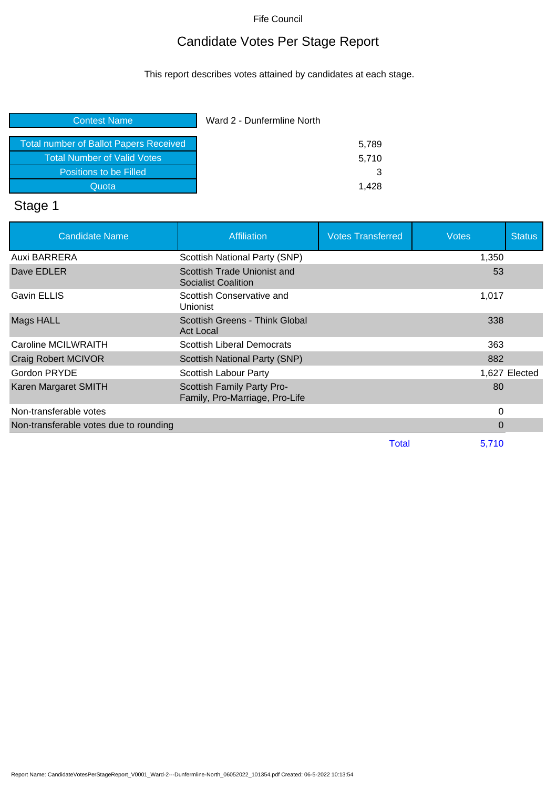# Candidate Votes Per Stage Report

This report describes votes attained by candidates at each stage.

| Ward 2 - Dunfermline North |  |
|----------------------------|--|
| 5,789                      |  |
| 5,710                      |  |
| 3                          |  |
| 1.428                      |  |
|                            |  |

# Stage 1

| <b>Candidate Name</b>                  | <b>Affiliation</b>                                           | <b>Votes Transferred</b> | <b>Votes</b> | <b>Status</b> |
|----------------------------------------|--------------------------------------------------------------|--------------------------|--------------|---------------|
| Auxi BARRERA                           | Scottish National Party (SNP)                                |                          | 1,350        |               |
| Dave EDLER                             | Scottish Trade Unionist and<br>Socialist Coalition           |                          | 53           |               |
| <b>Gavin ELLIS</b>                     | Scottish Conservative and<br><b>Unionist</b>                 |                          | 1,017        |               |
| Mags HALL                              | Scottish Greens - Think Global<br><b>Act Local</b>           |                          | 338          |               |
| Caroline MCILWRAITH                    | <b>Scottish Liberal Democrats</b>                            |                          | 363          |               |
| <b>Craig Robert MCIVOR</b>             | Scottish National Party (SNP)                                |                          | 882          |               |
| Gordon PRYDE                           | Scottish Labour Party                                        |                          |              | 1,627 Elected |
| Karen Margaret SMITH                   | Scottish Family Party Pro-<br>Family, Pro-Marriage, Pro-Life |                          | 80           |               |
| Non-transferable votes                 |                                                              |                          | 0            |               |
| Non-transferable votes due to rounding |                                                              |                          | 0            |               |
|                                        |                                                              | <b>Total</b>             | 5,710        |               |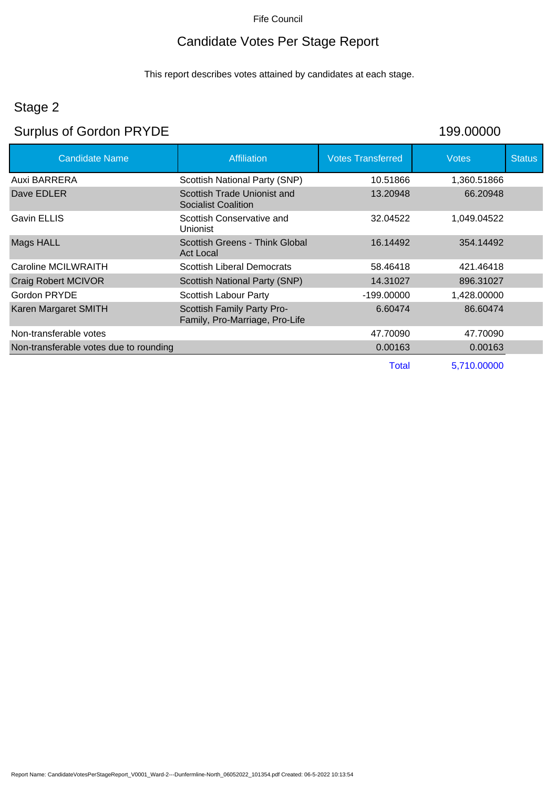# Candidate Votes Per Stage Report

This report describes votes attained by candidates at each stage.

# Stage 2

# Surplus of Gordon PRYDE 199.00000

| 199.00000 |  |  |  |  |  |  |  |  |  |
|-----------|--|--|--|--|--|--|--|--|--|
|-----------|--|--|--|--|--|--|--|--|--|

| <b>Candidate Name</b>                  | <b>Affiliation</b>                                           | <b>Votes Transferred</b> | <b>Votes</b> | <b>Status</b> |
|----------------------------------------|--------------------------------------------------------------|--------------------------|--------------|---------------|
| Auxi BARRERA                           | Scottish National Party (SNP)                                | 10.51866                 | 1,360.51866  |               |
| Dave EDLER                             | Scottish Trade Unionist and<br>Socialist Coalition           | 13.20948                 | 66.20948     |               |
| <b>Gavin ELLIS</b>                     | Scottish Conservative and<br><b>Unionist</b>                 | 32.04522                 | 1,049.04522  |               |
| Mags HALL                              | Scottish Greens - Think Global<br><b>Act Local</b>           | 16.14492                 | 354.14492    |               |
| Caroline MCILWRAITH                    | <b>Scottish Liberal Democrats</b>                            | 58.46418                 | 421.46418    |               |
| <b>Craig Robert MCIVOR</b>             | Scottish National Party (SNP)                                | 14.31027                 | 896.31027    |               |
| Gordon PRYDE                           | Scottish Labour Party                                        | $-199.00000$             | 1,428.00000  |               |
| Karen Margaret SMITH                   | Scottish Family Party Pro-<br>Family, Pro-Marriage, Pro-Life | 6.60474                  | 86.60474     |               |
| Non-transferable votes                 |                                                              | 47.70090                 | 47.70090     |               |
| Non-transferable votes due to rounding |                                                              | 0.00163                  | 0.00163      |               |
|                                        |                                                              | Total                    | 5,710.00000  |               |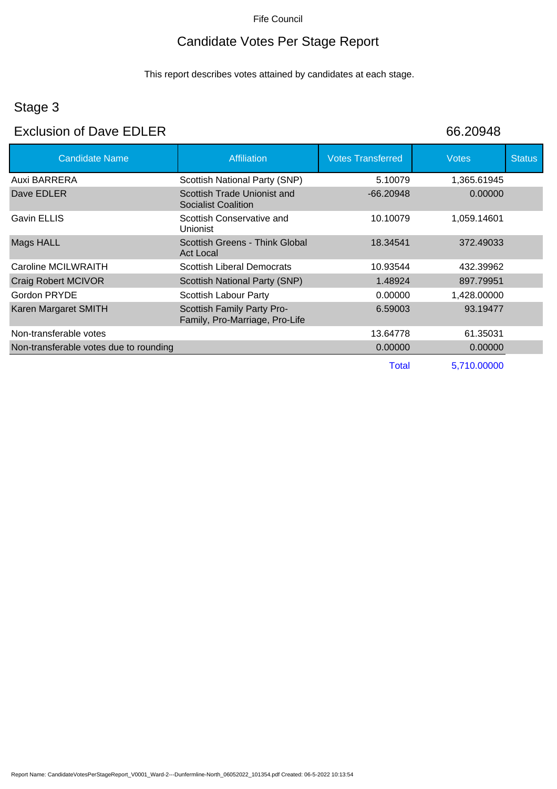# Candidate Votes Per Stage Report

This report describes votes attained by candidates at each stage.

# Stage 3

# Exclusion of Dave EDLER 66.20948

| <b>Candidate Name</b>                  | <b>Affiliation</b>                                           | <b>Votes Transferred</b> | <b>Votes</b> | <b>Status</b> |
|----------------------------------------|--------------------------------------------------------------|--------------------------|--------------|---------------|
| Auxi BARRERA                           | Scottish National Party (SNP)                                | 5.10079                  | 1,365.61945  |               |
| Dave EDLER                             | Scottish Trade Unionist and<br>Socialist Coalition           | $-66.20948$              | 0.00000      |               |
| <b>Gavin ELLIS</b>                     | Scottish Conservative and<br><b>Unionist</b>                 | 10.10079                 | 1,059.14601  |               |
| Mags HALL                              | Scottish Greens - Think Global<br><b>Act Local</b>           | 18.34541                 | 372.49033    |               |
| Caroline MCILWRAITH                    | Scottish Liberal Democrats                                   | 10.93544                 | 432.39962    |               |
| Craig Robert MCIVOR                    | Scottish National Party (SNP)                                | 1.48924                  | 897.79951    |               |
| Gordon PRYDE                           | Scottish Labour Party                                        | 0.00000                  | 1,428.00000  |               |
| Karen Margaret SMITH                   | Scottish Family Party Pro-<br>Family, Pro-Marriage, Pro-Life | 6.59003                  | 93.19477     |               |
| Non-transferable votes                 |                                                              | 13.64778                 | 61.35031     |               |
| Non-transferable votes due to rounding |                                                              | 0.00000                  | 0.00000      |               |
|                                        |                                                              | Total                    | 5,710.00000  |               |

Report Name: CandidateVotesPerStageReport\_V0001\_Ward-2---Dunfermline-North\_06052022\_101354.pdf Created: 06-5-2022 10:13:54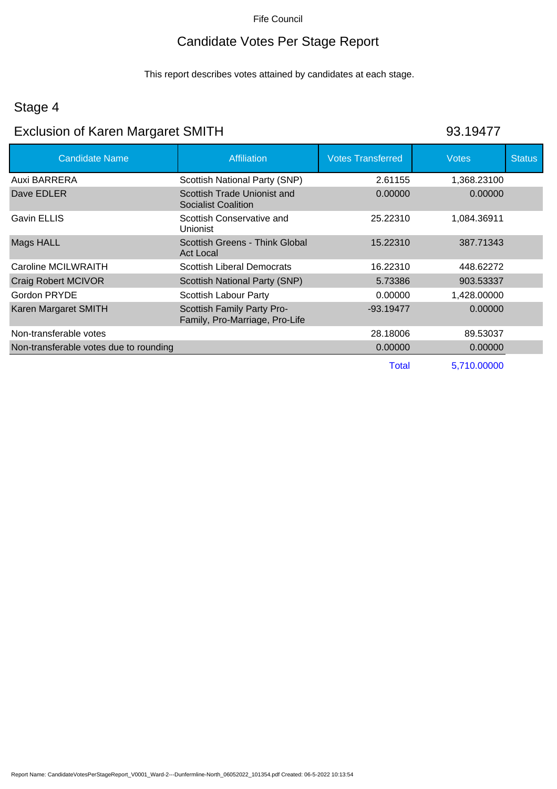# Candidate Votes Per Stage Report

This report describes votes attained by candidates at each stage.

## Stage 4

# Exclusion of Karen Margaret SMITH 93.19477

| <b>Candidate Name</b>                  | Affiliation                                                  | <b>Votes Transferred</b> | Votes       | <b>Status</b> |
|----------------------------------------|--------------------------------------------------------------|--------------------------|-------------|---------------|
| Auxi BARRERA                           | Scottish National Party (SNP)                                | 2.61155                  | 1,368.23100 |               |
| Dave EDLER                             | Scottish Trade Unionist and<br><b>Socialist Coalition</b>    | 0.00000                  | 0.00000     |               |
| Gavin ELLIS                            | Scottish Conservative and<br><b>Unionist</b>                 | 25.22310                 | 1,084.36911 |               |
| Mags HALL                              | Scottish Greens - Think Global<br>Act Local                  | 15.22310                 | 387.71343   |               |
| Caroline MCILWRAITH                    | <b>Scottish Liberal Democrats</b>                            | 16.22310                 | 448.62272   |               |
| <b>Craig Robert MCIVOR</b>             | Scottish National Party (SNP)                                | 5.73386                  | 903.53337   |               |
| Gordon PRYDE                           | Scottish Labour Party                                        | 0.00000                  | 1,428.00000 |               |
| Karen Margaret SMITH                   | Scottish Family Party Pro-<br>Family, Pro-Marriage, Pro-Life | $-93.19477$              | 0.00000     |               |
| Non-transferable votes                 |                                                              | 28.18006                 | 89.53037    |               |
| Non-transferable votes due to rounding |                                                              | 0.00000                  | 0.00000     |               |
|                                        |                                                              | Total                    | 5.710.00000 |               |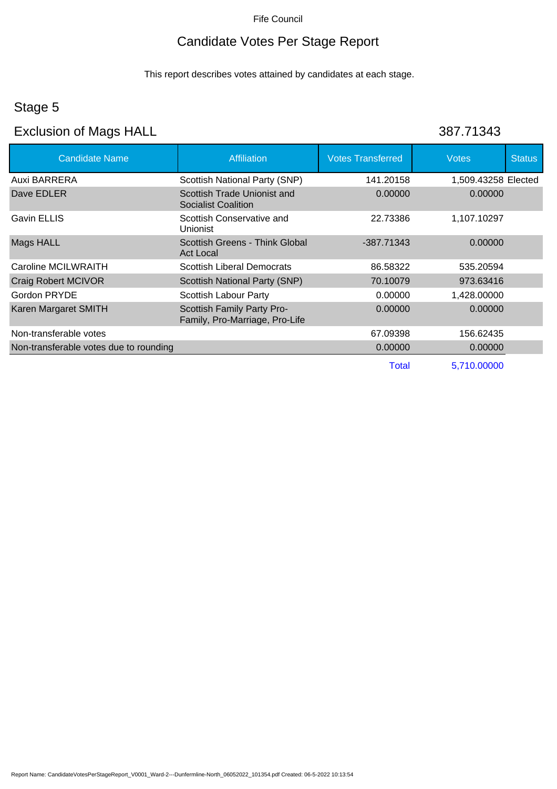# Candidate Votes Per Stage Report

This report describes votes attained by candidates at each stage.

## Stage 5

## Exclusion of Mags HALL 387.71343

| <b>Candidate Name</b>                  | <b>Affiliation</b>                                           | <b>Votes Transferred</b> | <b>Votes</b>        | <b>Status</b> |
|----------------------------------------|--------------------------------------------------------------|--------------------------|---------------------|---------------|
| Auxi BARRERA                           | Scottish National Party (SNP)                                | 141.20158                | 1,509.43258 Elected |               |
| Dave EDLER                             | Scottish Trade Unionist and<br><b>Socialist Coalition</b>    | 0.00000                  | 0.00000             |               |
| Gavin ELLIS                            | Scottish Conservative and<br><b>Unionist</b>                 | 22.73386                 | 1,107.10297         |               |
| Mags HALL                              | Scottish Greens - Think Global<br><b>Act Local</b>           | $-387.71343$             | 0.00000             |               |
| Caroline MCILWRAITH                    | <b>Scottish Liberal Democrats</b>                            | 86.58322                 | 535.20594           |               |
| Craig Robert MCIVOR                    | Scottish National Party (SNP)                                | 70.10079                 | 973.63416           |               |
| Gordon PRYDE                           | Scottish Labour Party                                        | 0.00000                  | 1,428.00000         |               |
| Karen Margaret SMITH                   | Scottish Family Party Pro-<br>Family, Pro-Marriage, Pro-Life | 0.00000                  | 0.00000             |               |
| Non-transferable votes                 |                                                              | 67.09398                 | 156.62435           |               |
| Non-transferable votes due to rounding |                                                              | 0.00000                  | 0.00000             |               |
|                                        |                                                              | <b>Total</b>             | 5,710.00000         |               |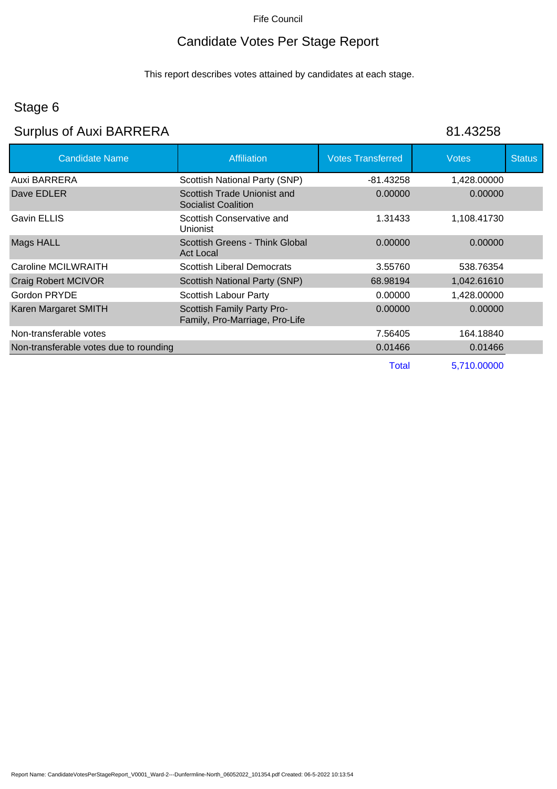# Candidate Votes Per Stage Report

This report describes votes attained by candidates at each stage.

# Stage 6

# Surplus of Auxi BARRERA 81.43258

| <b>Candidate Name</b>                  | <b>Affiliation</b>                                           | <b>Votes Transferred</b> | <b>Votes</b> | <b>Status</b> |
|----------------------------------------|--------------------------------------------------------------|--------------------------|--------------|---------------|
| Auxi BARRERA                           | Scottish National Party (SNP)                                | $-81.43258$              | 1,428.00000  |               |
| Dave EDLER                             | Scottish Trade Unionist and<br><b>Socialist Coalition</b>    | 0.00000                  | 0.00000      |               |
| Gavin ELLIS                            | Scottish Conservative and<br><b>Unionist</b>                 | 1.31433                  | 1,108.41730  |               |
| Mags HALL                              | Scottish Greens - Think Global<br><b>Act Local</b>           | 0.00000                  | 0.00000      |               |
| Caroline MCILWRAITH                    | <b>Scottish Liberal Democrats</b>                            | 3.55760                  | 538.76354    |               |
| Craig Robert MCIVOR                    | Scottish National Party (SNP)                                | 68.98194                 | 1,042.61610  |               |
| Gordon PRYDE                           | Scottish Labour Party                                        | 0.00000                  | 1,428.00000  |               |
| Karen Margaret SMITH                   | Scottish Family Party Pro-<br>Family, Pro-Marriage, Pro-Life | 0.00000                  | 0.00000      |               |
| Non-transferable votes                 |                                                              | 7.56405                  | 164.18840    |               |
| Non-transferable votes due to rounding |                                                              | 0.01466                  | 0.01466      |               |
|                                        |                                                              | Total                    | 5,710.00000  |               |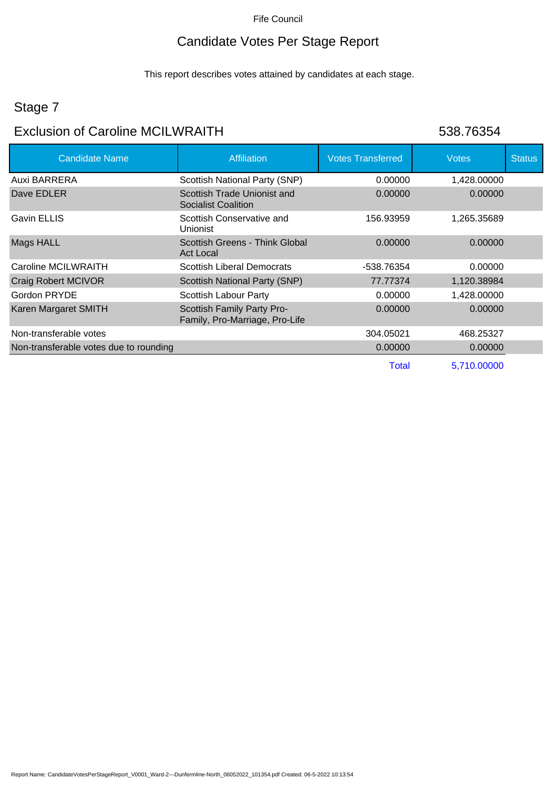## Candidate Votes Per Stage Report

This report describes votes attained by candidates at each stage.

## Stage 7

## Exclusion of Caroline MCILWRAITH 538.76354

| <b>Candidate Name</b>                  | <b>Affiliation</b>                                           | <b>Votes Transferred</b> | <b>Votes</b> | <b>Status</b> |
|----------------------------------------|--------------------------------------------------------------|--------------------------|--------------|---------------|
| Auxi BARRERA                           | Scottish National Party (SNP)                                | 0.00000                  | 1,428.00000  |               |
| Dave EDLER                             | Scottish Trade Unionist and<br>Socialist Coalition           | 0.00000                  | 0.00000      |               |
| Gavin ELLIS                            | Scottish Conservative and<br>Unionist                        | 156.93959                | 1,265.35689  |               |
| <b>Mags HALL</b>                       | Scottish Greens - Think Global<br><b>Act Local</b>           | 0.00000                  | 0.00000      |               |
| Caroline MCILWRAITH                    | Scottish Liberal Democrats                                   | -538.76354               | 0.00000      |               |
| Craig Robert MCIVOR                    | Scottish National Party (SNP)                                | 77.77374                 | 1,120.38984  |               |
| Gordon PRYDE                           | Scottish Labour Party                                        | 0.00000                  | 1,428.00000  |               |
| Karen Margaret SMITH                   | Scottish Family Party Pro-<br>Family, Pro-Marriage, Pro-Life | 0.00000                  | 0.00000      |               |
| Non-transferable votes                 |                                                              | 304.05021                | 468.25327    |               |
| Non-transferable votes due to rounding |                                                              | 0.00000                  | 0.00000      |               |
|                                        |                                                              | <b>Total</b>             | 5,710.00000  |               |

Report Name: CandidateVotesPerStageReport\_V0001\_Ward-2---Dunfermline-North\_06052022\_101354.pdf Created: 06-5-2022 10:13:54